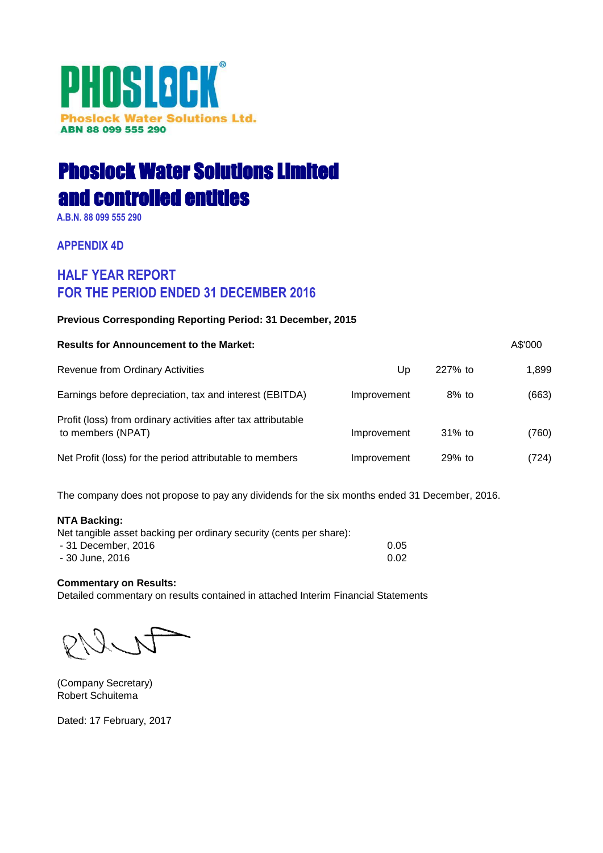# PHOSLOCK® **Phoslock Water Solutions Ltd.** ABN 88 099 555 290

# Phoslock Water Solutions Limited and controlled entities

**A.B.N. 88 099 555 290**

**APPENDIX 4D**

# **HALF YEAR REPORT FOR THE PERIOD ENDED 31 DECEMBER 2016**

# **Previous Corresponding Reporting Period: 31 December, 2015**

| <b>Results for Announcement to the Market:</b>                                     |             |           | A\$'000 |
|------------------------------------------------------------------------------------|-------------|-----------|---------|
| Revenue from Ordinary Activities                                                   | Up          | 227% to   | 1,899   |
| Earnings before depreciation, tax and interest (EBITDA)                            | Improvement | $8\%$ to  | (663)   |
| Profit (loss) from ordinary activities after tax attributable<br>to members (NPAT) | Improvement | $31\%$ to | (760)   |
| Net Profit (loss) for the period attributable to members                           | Improvement | $29%$ to  | (724)   |

The company does not propose to pay any dividends for the six months ended 31 December, 2016.

# **NTA Backing:**

| Net tangible asset backing per ordinary security (cents per share): |      |
|---------------------------------------------------------------------|------|
| - 31 December. 2016                                                 | 0.05 |
| - 30 June. 2016                                                     | 0.02 |

# **Commentary on Results:**

Detailed commentary on results contained in attached Interim Financial Statements

(Company Secretary) Robert Schuitema

Dated: 17 February, 2017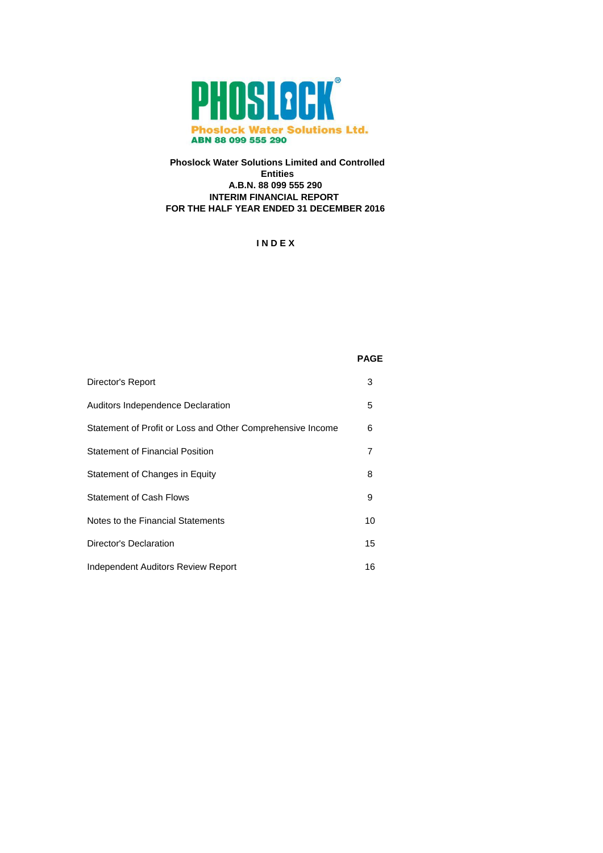

# **Phoslock Water Solutions Limited and Controlled Entities A.B.N. 88 099 555 290 INTERIM FINANCIAL REPORT FOR THE HALF YEAR ENDED 31 DECEMBER 2016**

**I N D E X**

# **PAGE**

| Director's Report                                          | 3  |
|------------------------------------------------------------|----|
| Auditors Independence Declaration                          | 5  |
| Statement of Profit or Loss and Other Comprehensive Income | 6  |
| <b>Statement of Financial Position</b>                     | 7  |
| Statement of Changes in Equity                             | 8  |
| <b>Statement of Cash Flows</b>                             | 9  |
| Notes to the Financial Statements                          | 10 |
| Director's Declaration                                     | 15 |
| Independent Auditors Review Report                         | 16 |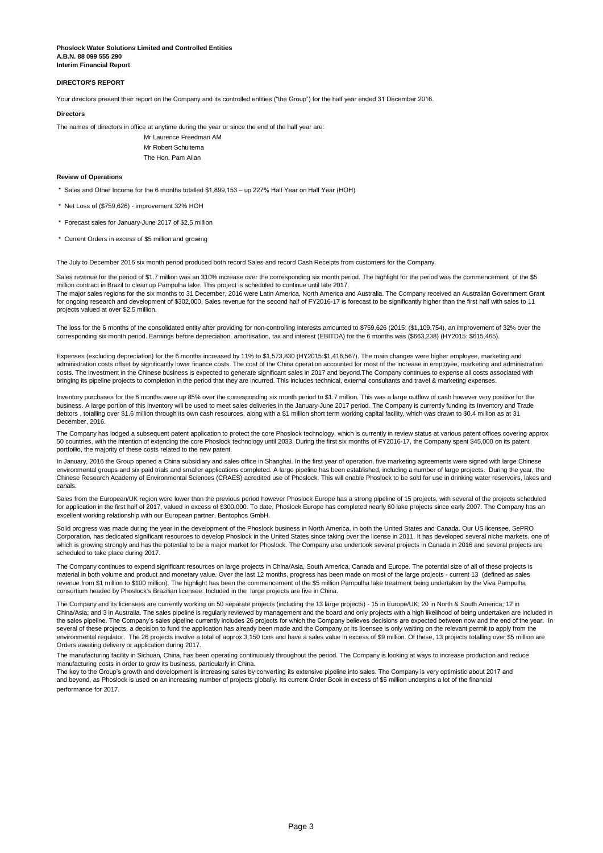# **DIRECTOR'S REPORT**

Your directors present their report on the Company and its controlled entities ("the Group") for the half year ended 31 December 2016.

#### **Directors**

The names of directors in office at anytime during the year or since the end of the half year are:

Mr Laurence Freedman AM Mr Robert Schuitema The Hon. Pam Allan

#### **Review of Operations**

- \* Sales and Other Income for the 6 months totalled \$1,899,153 up 227% Half Year on Half Year (HOH)
- \* Net Loss of (\$759,626) improvement 32% HOH
- \* Forecast sales for January-June 2017 of \$2.5 million
- \* Current Orders in excess of \$5 million and growing

The July to December 2016 six month period produced both record Sales and record Cash Receipts from customers for the Company.

Sales revenue for the period of \$1.7 million was an 310% increase over the corresponding six month period. The highlight for the period was the commencement of the \$5 million contract in Brazil to clean up Pampulha lake. This project is scheduled to continue until late 2017. The major sales regions for the six months to 31 December, 2016 were Latin America, North America and Australia. The Company received an Australian Government Grant for ongoing research and development of \$302,000. Sales revenue for the second half of FY2016-17 is forecast to be significantly higher than the first half with sales to 11 projects valued at over \$2.5 million.

The loss for the 6 months of the consolidated entity after providing for non-controlling interests amounted to \$759,626 (2015: (\$1,109,754), an improvement of 32% over the corresponding six month period. Earnings before depreciation, amortisation, tax and interest (EBITDA) for the 6 months was (\$663,238) (HY2015: \$615,465).

Expenses (excluding depreciation) for the 6 months increased by 11% to \$1,573,830 (HY2015:\$1,416,567). The main changes were higher employee, marketing and administration costs offset by significantly lower finance costs. The cost of the China operation accounted for most of the increase in employee, marketing and administration costs. The investment in the Chinese business is expected to generate significant sales in 2017 and beyond.The Company continues to expense all costs associated with bringing its pipeline projects to completion in the period that they are incurred. This includes technical, external consultants and travel & marketing expenses.

Inventory purchases for the 6 months were up 85% over the corresponding six month period to \$1.7 million. This was a large outflow of cash however very positive for the business. A large portion of this inventory will be used to meet sales deliveries in the January-June 2017 period. The Company is currently funding its Inventory and Trade debtors, totalling over \$1.6 million through its own cash resources, along with a \$1 million short term working capital facility, which was drawn to \$0.4 million as at 31 December, 2016.

The Company has lodged a subsequent patent application to protect the core Phoslock technology, which is currently in review status at various patent offices covering approx 50 countries, with the intention of extending the core Phoslock technology until 2033. During the first six months of FY2016-17, the Company spent \$45,000 on its patent portfoilio, the majority of these costs related to the new patent.

In January, 2016 the Group opened a China subsidiary and sales office in Shanghai. In the first year of operation, five marketing agreements were signed with large Chinese environmental groups and six paid trials and smaller applications completed. A large pipeline has been established, including a number of large projects. During the year, the Chinese Research Academy of Environmental Sciences (CRAES) acredited use of Phoslock. This will enable Phoslock to be sold for use in drinking water reservoirs, lakes and canals.

Sales from the European/UK region were lower than the previous period however Phoslock Europe has a strong pipeline of 15 projects, with several of the projects scheduled for application in the first half of 2017, valued in excess of \$300,000. To date, Phoslock Europe has completed nearly 60 lake projects since early 2007. The Company has an excellent working relationship with our European partner, Bentophos GmbH.

Solid progress was made during the year in the development of the Phoslock business in North America, in both the United States and Canada. Our US licensee, SePRO Corporation, has dedicated significant resources to develop Phoslock in the United States since taking over the license in 2011. It has developed several niche markets, one of which is growing strongly and has the potential to be a major market for Phoslock. The Company also undertook several projects in Canada in 2016 and several projects are scheduled to take place during 2017.

The Company continues to expend significant resources on large projects in China/Asia, South America, Canada and Europe. The potential size of all of these projects is material in both volume and product and monetary value. Over the last 12 months, progress has been made on most of the large projects - current 13 (defined as sales revenue from \$1 million to \$100 million). The highlight has been the commencement of the \$5 million Pampulha lake treatment being undertaken by the Viva Pampulha consortium headed by Phoslock's Brazilian licensee. Included in the large projects are five in China.

The Company and its licensees are currently working on 50 separate projects (including the 13 large projects) - 15 in Europe/UK; 20 in North & South America; 12 in China/Asia; and 3 in Australia. The sales pipeline is regularly reviewed by management and the board and only projects with a high likelihood of being undertaken are included in the sales pipeline. The Company's sales pipeline currently includes 26 projects for which the Company believes decisions are expected between now and the end of the year. In several of these projects, a decision to fund the application has already been made and the Company or its licensee is only waiting on the relevant permit to apply from the environmental regulator. The 26 projects involve a total of approx 3,150 tons and have a sales value in excess of \$9 million. Of these, 13 projects totalling over \$5 million are Orders awaiting delivery or application during 2017.

The manufacturing facility in Sichuan, China, has been operating continuously throughout the period. The Company is looking at ways to increase production and reduce manufacturing costs in order to grow its business, particularly in China.

The key to the Group's growth and development is increasing sales by converting its extensive pipeline into sales. The Company is very optimistic about 2017 and and beyond, as Phoslock is used on an increasing number of projects globally. Its current Order Book in excess of \$5 million underpins a lot of the financial performance for 2017.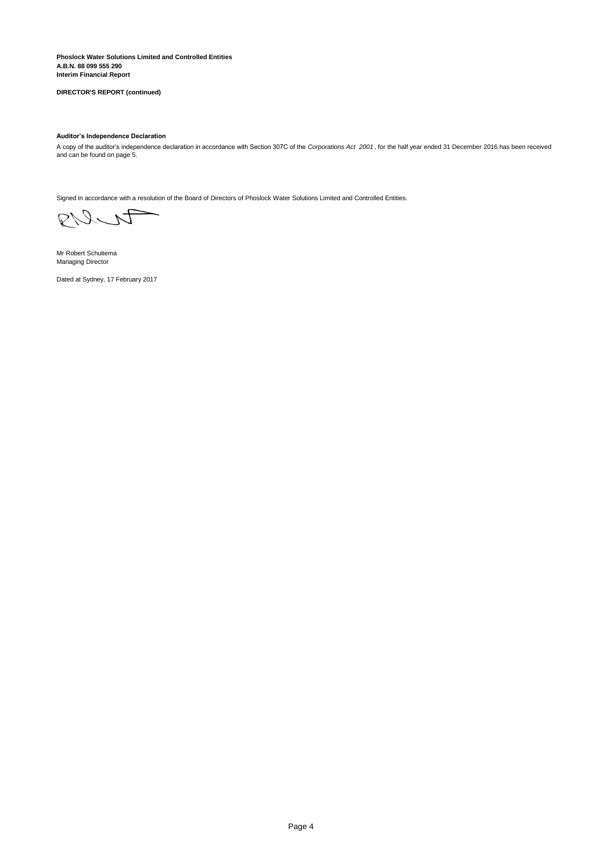**Interim Financial Report A.B.N. 88 099 555 290 Phoslock Water Solutions Limited and Controlled Entities**

# **DIRECTOR'S REPORT (continued)**

## **Auditor's Independence Declaration**

A copy of the auditor's independence declaration in accordance with Section 307C of the *Corporations Act 2001* , for the half year ended 31 December 2016 has been received and can be found on page 5.

Signed in accordance with a resolution of the Board of Directors of Phoslock Water Solutions Limited and Controlled Entities.

RIS

Mr Robert Schuitema Managing Director

Dated at Sydney, 17 February 2017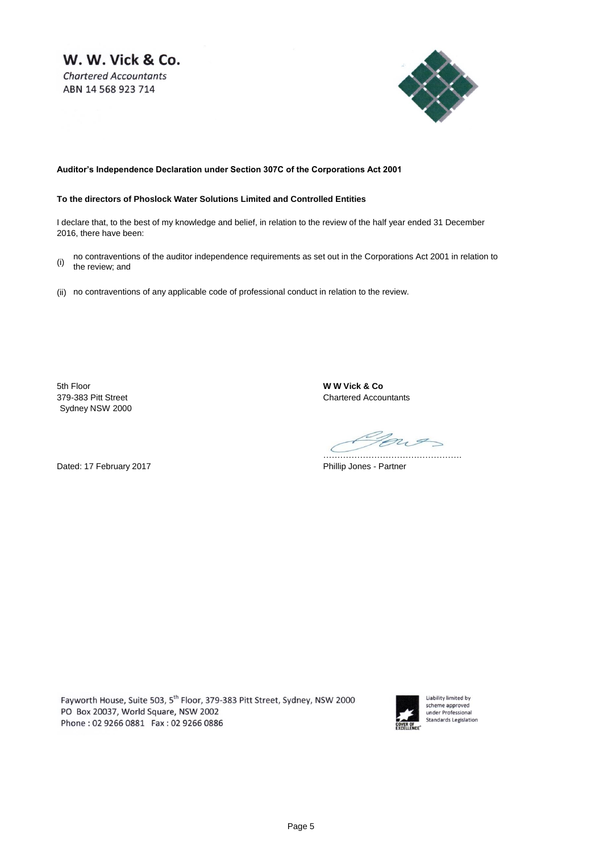W. W. Vick & Co. **Chartered Accountants** ABN 14 568 923 714



**Auditor's Independence Declaration under Section 307C of the Corporations Act 2001** 

# **To the directors of Phoslock Water Solutions Limited and Controlled Entities**

I declare that, to the best of my knowledge and belief, in relation to the review of the half year ended 31 December 2016, there have been:

(i) no contraventions of the auditor independence requirements as set out in the Corporations Act 2001 in relation to the review; and

(ii) no contraventions of any applicable code of professional conduct in relation to the review.

5th Floor **W W Vick & Co** Sydney NSW 2000

379-383 Pitt Street Chartered Accountants

ries ……………………………………………

Dated: 17 February 2017 **Phillip Jones - Partner** 

Fayworth House, Suite 503, 5<sup>th</sup> Floor, 379-383 Pitt Street, Sydney, NSW 2000 PO Box 20037, World Square, NSW 2002 Phone: 02 9266 0881 Fax: 02 9266 0886



Liability limited by scheme approved under Professional Standards Legislation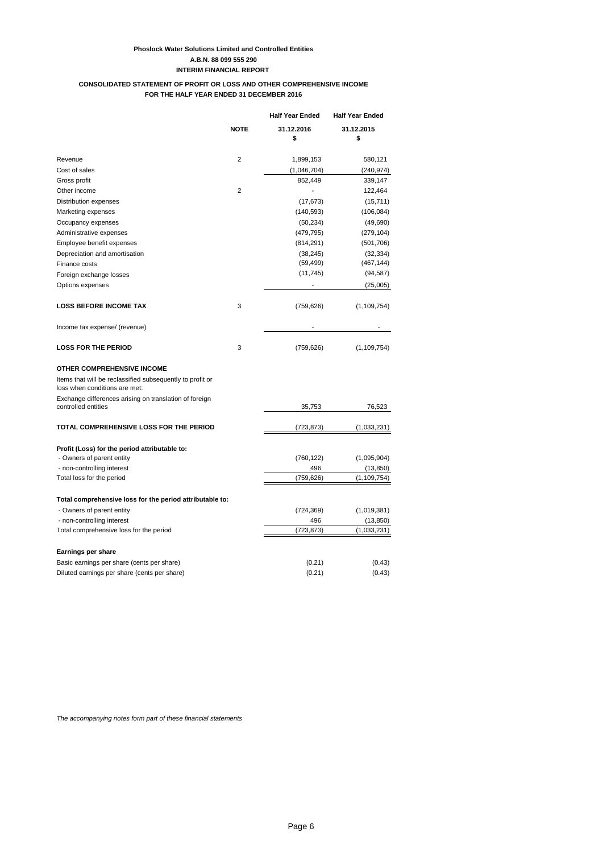# **CONSOLIDATED STATEMENT OF PROFIT OR LOSS AND OTHER COMPREHENSIVE INCOME FOR THE HALF YEAR ENDED 31 DECEMBER 2016**

|                                                                                            |                | <b>Half Year Ended</b> | <b>Half Year Ended</b> |
|--------------------------------------------------------------------------------------------|----------------|------------------------|------------------------|
|                                                                                            | <b>NOTE</b>    | 31.12.2016<br>\$       | 31.12.2015<br>\$       |
|                                                                                            |                |                        |                        |
| Revenue                                                                                    | $\overline{2}$ | 1,899,153              | 580,121                |
| Cost of sales                                                                              |                | (1,046,704)            | (240, 974)             |
| Gross profit                                                                               |                | 852,449                | 339,147                |
| Other income                                                                               | $\overline{2}$ |                        | 122,464                |
| Distribution expenses                                                                      |                | (17, 673)              | (15, 711)              |
| Marketing expenses                                                                         |                | (140, 593)             | (106, 084)             |
| Occupancy expenses                                                                         |                | (50, 234)              | (49,690)               |
| Administrative expenses                                                                    |                | (479, 795)             | (279, 104)             |
| Employee benefit expenses                                                                  |                | (814, 291)             | (501, 706)             |
| Depreciation and amortisation                                                              |                | (38, 245)              | (32, 334)              |
| Finance costs                                                                              |                | (59, 499)              | (467, 144)             |
| Foreign exchange losses                                                                    |                | (11, 745)              | (94, 587)              |
| Options expenses                                                                           |                |                        | (25,005)               |
| <b>LOSS BEFORE INCOME TAX</b>                                                              | 3              | (759, 626)             | (1, 109, 754)          |
| Income tax expense/ (revenue)                                                              |                |                        |                        |
| <b>LOSS FOR THE PERIOD</b>                                                                 | 3              | (759, 626)             | (1, 109, 754)          |
| <b>OTHER COMPREHENSIVE INCOME</b>                                                          |                |                        |                        |
| Items that will be reclassified subsequently to profit or<br>loss when conditions are met: |                |                        |                        |
| Exchange differences arising on translation of foreign                                     |                |                        |                        |
| controlled entities                                                                        |                | 35,753                 | 76,523                 |
| TOTAL COMPREHENSIVE LOSS FOR THE PERIOD                                                    |                | (723, 873)             | (1,033,231)            |
| Profit (Loss) for the period attributable to:                                              |                |                        |                        |
| - Owners of parent entity                                                                  |                | (760, 122)             | (1,095,904)            |
| - non-controlling interest                                                                 |                | 496                    | (13, 850)              |
| Total loss for the period                                                                  |                | (759, 626)             | (1, 109, 754)          |
| Total comprehensive loss for the period attributable to:                                   |                |                        |                        |
| - Owners of parent entity                                                                  |                | (724, 369)             | (1,019,381)            |
| - non-controlling interest                                                                 |                | 496                    | (13, 850)              |
| Total comprehensive loss for the period                                                    |                | (723, 873)             | (1,033,231)            |
| Earnings per share                                                                         |                |                        |                        |
| Basic earnings per share (cents per share)                                                 |                | (0.21)                 | (0.43)                 |
| Diluted earnings per share (cents per share)                                               |                | (0.21)                 | (0.43)                 |

*The accompanying notes form part of these financial statements*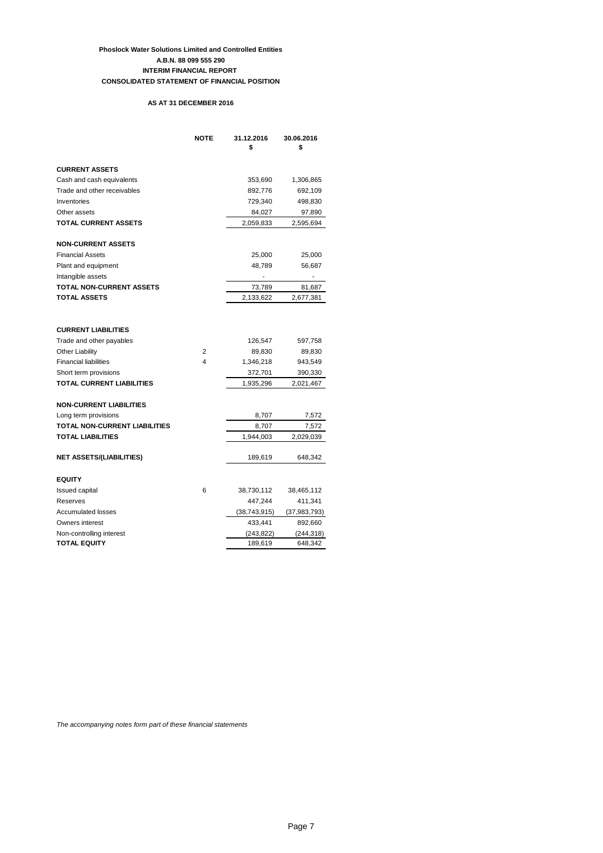# **Phoslock Water Solutions Limited and Controlled Entities A.B.N. 88 099 555 290 CONSOLIDATED STATEMENT OF FINANCIAL POSITION INTERIM FINANCIAL REPORT**

# **AS AT 31 DECEMBER 2016**

|                                      | <b>NOTE</b> | 31.12.2016<br>\$ | 30.06.2016<br>\$ |
|--------------------------------------|-------------|------------------|------------------|
| <b>CURRENT ASSETS</b>                |             |                  |                  |
| Cash and cash equivalents            |             | 353,690          | 1,306,865        |
| Trade and other receivables          |             | 892,776          | 692,109          |
| Inventories                          |             | 729,340          | 498,830          |
| Other assets                         |             | 84,027           | 97,890           |
| <b>TOTAL CURRENT ASSETS</b>          |             | 2,059,833        | 2,595,694        |
| <b>NON-CURRENT ASSETS</b>            |             |                  |                  |
| <b>Financial Assets</b>              |             | 25,000           | 25,000           |
| Plant and equipment                  |             | 48,789           | 56,687           |
| Intangible assets                    |             |                  |                  |
| <b>TOTAL NON-CURRENT ASSETS</b>      |             | 73,789           | 81,687           |
| <b>TOTAL ASSETS</b>                  |             | 2,133,622        | 2,677,381        |
|                                      |             |                  |                  |
| <b>CURRENT LIABILITIES</b>           |             |                  |                  |
| Trade and other payables             |             | 126,547          | 597,758          |
| <b>Other Liability</b>               | 2           | 89,830           | 89,830           |
| <b>Financial liabilities</b>         | 4           | 1,346,218        | 943,549          |
| Short term provisions                |             | 372,701          | 390,330          |
| <b>TOTAL CURRENT LIABILITIES</b>     |             | 1,935,296        | 2,021,467        |
| <b>NON-CURRENT LIABILITIES</b>       |             |                  |                  |
| Long term provisions                 |             | 8,707            | 7,572            |
| <b>TOTAL NON-CURRENT LIABILITIES</b> |             | 8,707            | 7,572            |
| <b>TOTAL LIABILITIES</b>             |             | 1,944,003        | 2,029,039        |
| <b>NET ASSETS/(LIABILITIES)</b>      |             | 189,619          | 648,342          |
| <b>EQUITY</b>                        |             |                  |                  |
| <b>Issued capital</b>                | 6           | 38,730,112       | 38,465,112       |
| Reserves                             |             | 447,244          | 411,341          |
| <b>Accumulated losses</b>            |             | (38, 743, 915)   | (37,983,793)     |
| Owners interest                      |             | 433,441          | 892,660          |
| Non-controlling interest             |             | (243,822)        | (244, 318)       |
| TOTAL EQUITY                         |             | 189,619          | 648,342          |

*The accompanying notes form part of these financial statements*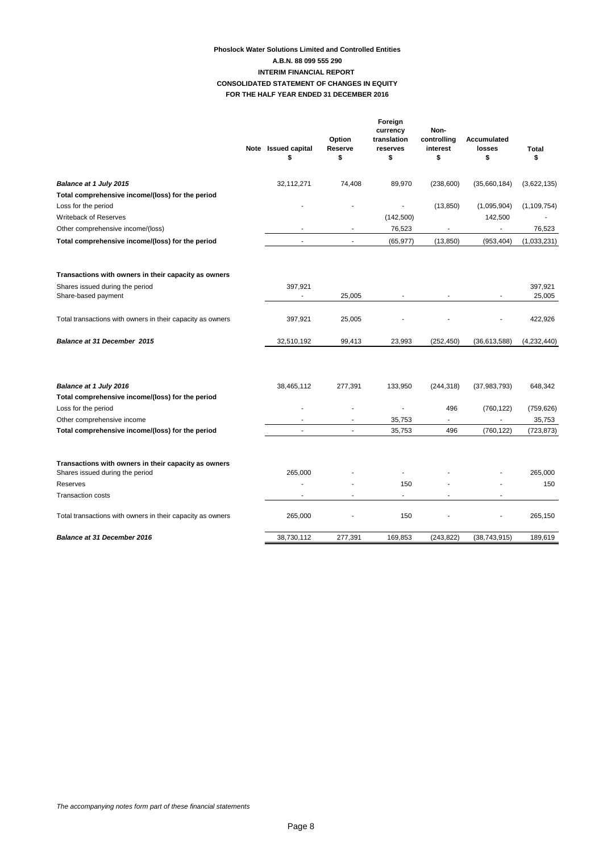# **Phoslock Water Solutions Limited and Controlled Entities FOR THE HALF YEAR ENDED 31 DECEMBER 2016 CONSOLIDATED STATEMENT OF CHANGES IN EQUITY A.B.N. 88 099 555 290 INTERIM FINANCIAL REPORT**

|                                                                                         | Note Issued capital<br>\$ | Option<br>Reserve<br>\$ | Foreign<br>currency<br>translation<br>reserves<br>\$ | Non-<br>controlling<br>interest<br>\$ | Accumulated<br>losses<br>\$ | Total<br>\$   |
|-----------------------------------------------------------------------------------------|---------------------------|-------------------------|------------------------------------------------------|---------------------------------------|-----------------------------|---------------|
| Balance at 1 July 2015                                                                  | 32,112,271                | 74,408                  | 89,970                                               | (238,600)                             | (35,660,184)                | (3,622,135)   |
| Total comprehensive income/(loss) for the period                                        |                           |                         |                                                      |                                       |                             |               |
| Loss for the period                                                                     |                           |                         | ÷,                                                   | (13, 850)                             | (1,095,904)                 | (1, 109, 754) |
| <b>Writeback of Reserves</b>                                                            |                           |                         | (142,500)                                            |                                       | 142,500                     |               |
| Other comprehensive income/(loss)                                                       |                           |                         | 76,523                                               | $\overline{\phantom{a}}$              |                             | 76,523        |
| Total comprehensive income/(loss) for the period                                        | $\sim$                    | $\sim$                  | (65, 977)                                            | (13, 850)                             | (953, 404)                  | (1,033,231)   |
| Transactions with owners in their capacity as owners                                    |                           |                         |                                                      |                                       |                             |               |
| Shares issued during the period                                                         | 397,921                   |                         |                                                      |                                       |                             | 397,921       |
| Share-based payment                                                                     |                           | 25,005                  |                                                      |                                       |                             | 25,005        |
| Total transactions with owners in their capacity as owners                              | 397,921                   | 25,005                  |                                                      |                                       |                             | 422,926       |
| Balance at 31 December 2015                                                             | 32,510,192                | 99,413                  | 23,993                                               | (252, 450)                            | (36,613,588)                | (4,232,440)   |
| Balance at 1 July 2016                                                                  | 38,465,112                | 277,391                 | 133,950                                              | (244, 318)                            | (37, 983, 793)              | 648,342       |
| Total comprehensive income/(loss) for the period                                        |                           |                         |                                                      |                                       |                             |               |
| Loss for the period                                                                     |                           |                         | ÷,                                                   | 496                                   | (760, 122)                  | (759, 626)    |
| Other comprehensive income                                                              |                           |                         | 35,753                                               |                                       | $\frac{1}{2}$               | 35,753        |
| Total comprehensive income/(loss) for the period                                        |                           | ä,                      | 35,753                                               | 496                                   | (760, 122)                  | (723, 873)    |
|                                                                                         |                           |                         |                                                      |                                       |                             |               |
| Transactions with owners in their capacity as owners<br>Shares issued during the period | 265,000                   |                         |                                                      |                                       |                             | 265,000       |
| Reserves                                                                                |                           |                         | 150                                                  |                                       |                             | 150           |
| <b>Transaction costs</b>                                                                |                           |                         | $\sim$                                               |                                       |                             |               |
| Total transactions with owners in their capacity as owners                              | 265,000                   |                         | 150                                                  |                                       |                             | 265,150       |
| <b>Balance at 31 December 2016</b>                                                      | 38,730,112                | 277,391                 | 169,853                                              | (243, 822)                            | (38, 743, 915)              | 189,619       |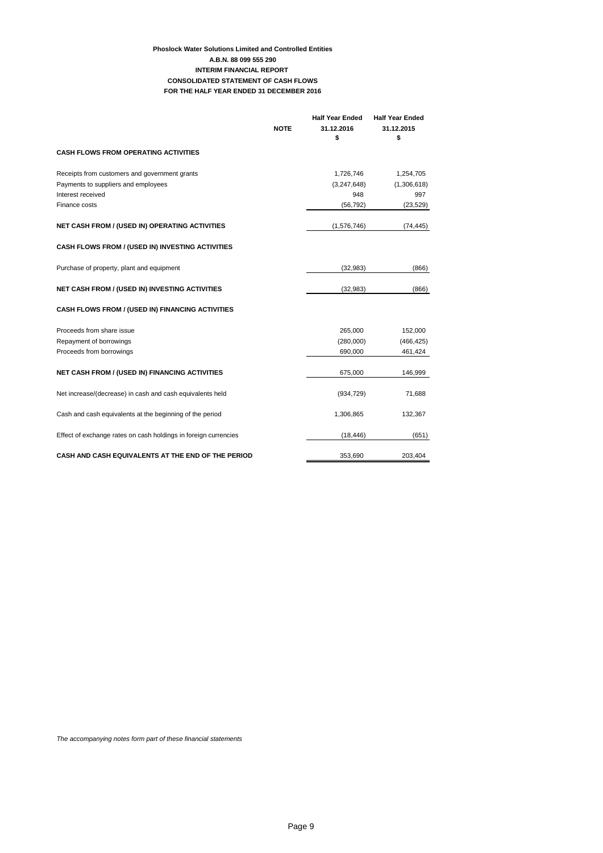# **Phoslock Water Solutions Limited and Controlled Entities CONSOLIDATED STATEMENT OF CASH FLOWS FOR THE HALF YEAR ENDED 31 DECEMBER 2016 A.B.N. 88 099 555 290 INTERIM FINANCIAL REPORT**

|                                                                 | <b>Half Year Ended</b> | <b>Half Year Ended</b> |
|-----------------------------------------------------------------|------------------------|------------------------|
| <b>NOTE</b>                                                     | 31.12.2016             | 31.12.2015             |
|                                                                 | \$                     | \$                     |
| <b>CASH FLOWS FROM OPERATING ACTIVITIES</b>                     |                        |                        |
| Receipts from customers and government grants                   | 1,726,746              | 1,254,705              |
| Payments to suppliers and employees                             | (3,247,648)            | (1,306,618)            |
| Interest received                                               | 948                    | 997                    |
| Finance costs                                                   | (56, 792)              | (23, 529)              |
| NET CASH FROM / (USED IN) OPERATING ACTIVITIES                  | (1,576,746)            | (74, 445)              |
| CASH FLOWS FROM / (USED IN) INVESTING ACTIVITIES                |                        |                        |
| Purchase of property, plant and equipment                       | (32,983)               | (866)                  |
| NET CASH FROM / (USED IN) INVESTING ACTIVITIES                  | (32, 983)              | (866)                  |
| <b>CASH FLOWS FROM / (USED IN) FINANCING ACTIVITIES</b>         |                        |                        |
| Proceeds from share issue                                       | 265,000                | 152,000                |
| Repayment of borrowings                                         | (280,000)              | (466, 425)             |
| Proceeds from borrowings                                        | 690,000                | 461,424                |
| NET CASH FROM / (USED IN) FINANCING ACTIVITIES                  | 675,000                | 146,999                |
| Net increase/(decrease) in cash and cash equivalents held       | (934, 729)             | 71,688                 |
| Cash and cash equivalents at the beginning of the period        | 1,306,865              | 132,367                |
| Effect of exchange rates on cash holdings in foreign currencies | (18, 446)              | (651)                  |
| CASH AND CASH EQUIVALENTS AT THE END OF THE PERIOD              | 353,690                | 203,404                |

*The accompanying notes form part of these financial statements*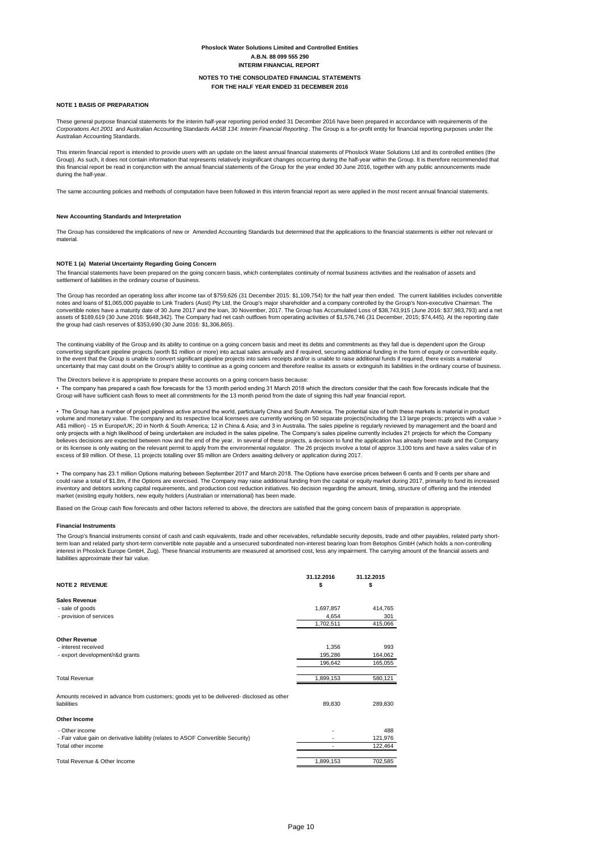#### **NOTES TO THE CONSOLIDATED FINANCIAL STATEMENTS FOR THE HALF YEAR ENDED 31 DECEMBER 2016**

#### **NOTE 1 BASIS OF PREPARATION**

These general purpose financial statements for the interim half-year reporting period ended 31 December 2016 have been prepared in accordance with requirements of the *Corporations Act 2001* and Australian Accounting Standards *AASB 134: Interim Financial Reporting* . The Group is a for-profit entity for financial reporting purposes under the Australian Accounting Standards.

This interim financial report is intended to provide users with an update on the latest annual financial statements of Phoslock Water Solutions Ltd and its controlled entities (the<br>Group). As such, it does not contain info this financial report be read in conjunction with the annual financial statements of the Group for the year ended 30 June 2016, together with any public announcements made during the half-year.

The same accounting policies and methods of computation have been followed in this interim financial report as were applied in the most recent annual financial statements.

#### **New Accounting Standards and Interpretation**

The Group has considered the implications of new or Amended Accounting Standards but determined that the applications to the financial statements is either not relevant or material.

#### **NOTE 1 (a) Material Uncertainty Regarding Going Concern**

The financial statements have been prepared on the going concern basis, which contemplates continuity of normal business activities and the realisation of assets and settlement of liabilities in the ordinary course of business.

The Group has recorded an operating loss after income tax of \$759,626 (31 December 2015: \$1,109,754) for the half year then ended. The current liabilities includes convertible notes and loans of \$1,065,000 payable to Link Traders (Aust) Pty Ltd, the Group's major shareholder and a company controlled by the Group's Non-executive Chairman. The convertible notes have a maturity date of 30 June 2017 and the loan, 30 November, 2017. The Group has Accumulated Loss of \$38,743,915 (June 2016: \$37,983,793) and a net assets of \$189,619 (30 June 2016: \$648,342). The Company had net cash outflows from operating activities of \$1,576,746 (31 December, 2015; \$74,445). At the reporting date<br>the group had cash reserves of \$353,690 (30 June 20

The continuing viability of the Group and its ability to continue on a going concern basis and meet its debts and commitments as they fall due is dependent upon the Group converting significant pipeline projects (worth \$1 million or more) into actual sales annually and if required, securing additional funding in the form of equity or convertible equity.<br>In the event that the Group is unable uncertainty that may cast doubt on the Group's ability to continue as a going concern and therefore realise its assets or extinguish its liabilities in the ordinary course of business.

#### The Directors believe it is appropriate to prepare these accounts on a going concern basis because:

• The company has prepared a cash flow forecasts for the 13 month period ending 31 March 2018 which the directors consider that the cash flow forecasts indicate that the<br>Group will have sufficient cash flows to meet all co

• The Group has a number of project pipelines active around the world, particluarly China and South America. The potential size of both these markets is material in product volume and monetary value. The company and its respective local licensees are currently working on 50 separate projects(including the 13 large projects; projects with a value > A\$1 million) - 15 in Europe/UK; 20 in North & South America; 12 in China & Asia; and 3 in Australia. The sales pipeline is regularly reviewed by management and the board and only projects with a high likelihood of being undertaken are included in the sales pipeline. The Company's sales pipeline currently includes 21 projects for which the Company believes decisions are expected between now and the end of the year. In several of these projects, a decision to fund the application has already been made and the Company<br>or its licensee is only waiting on the relevant pe excess of \$9 million. Of these, 11 projects totalling over \$5 million are Orders awaiting delivery or application during 2017.

• The company has 23.1 million Options maturing between September 2017 and March 2018. The Options have exercise prices between 6 cents and 9 cents per share and could raise a total of \$1.8m, if the Options are exercised. The Company may raise additional funding from the capital or equity market during 2017, primarily to fund its increased inventory and debtors working capital requirements, and production cost reduction initiatives. No decision regarding the amount, timing, structure of offering and the intended market (existing equity holders, new equity holders (Australian or international) has been made.

Based on the Group cash flow forecasts and other factors referred to above, the directors are satisfied that the going concern basis of preparation is appropriate.

#### **Financial Instruments**

The Group's financial instruments consist of cash and cash equivalents, trade and other receivables, refundable security deposits, trade and other payables, related party shortterm loan and related party short-term convertible note payable and a unsecured subordinated non-interest bearing loan from Betophos GmbH (which holds a non-controlling interest in Phoslock Europe GmbH, Zug). These financial instruments are measured at amortised cost, less any impairment. The carrying amount of the financial assets and liabilities approximate their fair value.

| <b>NOTE 2 REVENUE</b>                                                                                    | 31.12.2016<br>s    | 31.12.2015<br>s |
|----------------------------------------------------------------------------------------------------------|--------------------|-----------------|
| <b>Sales Revenue</b><br>- sale of goods<br>- provision of services                                       | 1,697,857<br>4,654 | 414,765<br>301  |
|                                                                                                          | 1,702,511          | 415,066         |
| <b>Other Revenue</b>                                                                                     |                    |                 |
| - interest received                                                                                      | 1,356              | 993             |
| - export development/r&d grants                                                                          | 195,286            | 164,062         |
|                                                                                                          | 196,642            | 165,055         |
| <b>Total Revenue</b>                                                                                     | 1,899,153          | 580,121         |
| Amounts received in advance from customers; goods yet to be delivered- disclosed as other<br>liabilities | 89,830             | 289.830         |
| Other Income                                                                                             |                    |                 |
| - Other income                                                                                           |                    | 488             |
| - Fair value gain on derivative liability (relates to ASOF Convertible Security)                         |                    | 121,976         |
| Total other income                                                                                       |                    | 122,464         |
| Total Revenue & Other Income                                                                             | 1,899,153          | 702,585         |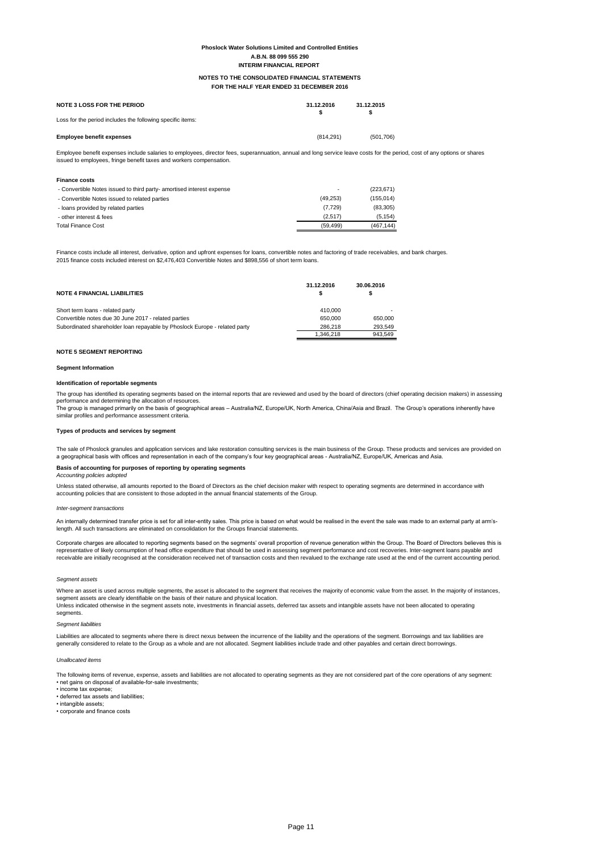#### **NOTES TO THE CONSOLIDATED FINANCIAL STATEMENTS FOR THE HALF YEAR ENDED 31 DECEMBER 2016**

| <b>NOTE 3 LOSS FOR THE PERIOD</b>                                                                                              | 31.12.2016 | 31.12.2015 |
|--------------------------------------------------------------------------------------------------------------------------------|------------|------------|
| Loss for the period includes the following specific items:                                                                     |            |            |
| <b>Employee benefit expenses</b>                                                                                               | (814.291)  | (501.706)  |
| Facebook baseli magaala isehidu aaladaa is aastamaa "disaisafaas" magaamattaa "aasmat aad lagu aasmiga taama dagiis aastamaada |            |            |

fees, superannuation, annual and long service leave costs for the period, cost of any options or shares Employee benefit expenses include salaries to employees, director fer<br>issued to employees, fringe benefit taxes and workers compensation.

#### **Finance costs**

| - Convertible Notes issued to third party- amortised interest expense | $\overline{\phantom{a}}$ | (223, 671) |
|-----------------------------------------------------------------------|--------------------------|------------|
| - Convertible Notes issued to related parties                         | (49.253)                 | (155, 014) |
| - loans provided by related parties                                   | (7.729)                  | (83, 305)  |
| - other interest & fees                                               | (2.517)                  | (5, 154)   |
| <b>Total Finance Cost</b>                                             | (59.499)                 | (467, 144) |

Finance costs include all interest, derivative, option and upfront expenses for loans, convertible notes and factoring of trade receivables, and bank charges. 2015 finance costs included interest on \$2,476,403 Convertible Notes and \$898,556 of short term loans.

|                                                                            | 31.12.2016 | 30.06.2016 |  |
|----------------------------------------------------------------------------|------------|------------|--|
| <b>NOTE 4 FINANCIAL LIABILITIES</b>                                        |            |            |  |
| Short term loans - related party                                           | 410.000    |            |  |
| Convertible notes due 30 June 2017 - related parties                       | 650,000    | 650.000    |  |
| Subordinated shareholder loan repayable by Phoslock Europe - related party | 286,218    | 293.549    |  |
|                                                                            | 1.346.218  | 943.549    |  |

#### **NOTE 5 SEGMENT REPORTING**

#### **Segment Information**

#### **Identification of reportable segments**

The group has identified its operating segments based on the internal reports that are reviewed and used by the board of directors (chief operating decision makers) in assessing

performance and determining the allocation of resources.<br>The group is managed primarily on the basis of geographical areas – Australia/NZ, Europe/UK, North America, China/Asia and Brazil. The Group's operations inherentl similar profiles and performance assessment criteria.

#### **Types of products and services by segment**

The sale of Phoslock granules and application services and lake restoration consulting services is the main business of the Group. These products and services are provided on a geographical basis with offices and representation in each of the company's four key geographical areas - Australia/NZ, Europe/UK, Americas and Asia.

#### **Basis of accounting for purposes of reporting by operating segments**

*Accounting policies adopted*

Unless stated otherwise, all amounts reported to the Board of Directors as the chief decision maker with respect to operating segments are determined in accordance with accounting policies that are consistent to those adopted in the annual financial statements of the Group.

#### *Inter-segment transactions*

An internally determined transfer price is set for all inter-entity sales. This price is based on what would be realised in the event the sale was made to an external party at arm'slength. All such transactions are eliminated on consolidation for the Groups financial statements.

Corporate charges are allocated to reporting segments based on the segments' overall proportion of revenue generation within the Group. The Board of Directors believes this is representative of likely consumption of head office expenditure that should be used in assessing segment performance and cost recoveries. Inter-segment loans payable and<br>receivable are initially recognised at the considera

#### *Segment assets*

Where an asset is used across multiple segments, the asset is allocated to the segment that receives the majority of economic value from the asset. In the majority of instances, segment assets are clearly identifiable on the basis of their nature and physical location. Unless indicated otherwise in the segment assets note, investments in financial assets, deferred tax assets and intangible assets have not been allocated to operating segments.

#### *Segment liabilities*

Liabilities are allocated to segments where there is direct nexus between the incurrence of the liability and the operations of the segment. Borrowings and tax liabilities are generally considered to relate to the Group as a whole and are not allocated. Segment liabilities include trade and other payables and certain direct borrowings.

#### *Unallocated items*

The following items of revenue, expense, assets and liabilities are not allocated to operating segments as they are not considered part of the core operations of any segment: • net gains on disposal of available-for-sale investments;

• income tax expense;

• deferred tax assets and liabilities;

• intangible assets; • corporate and finance costs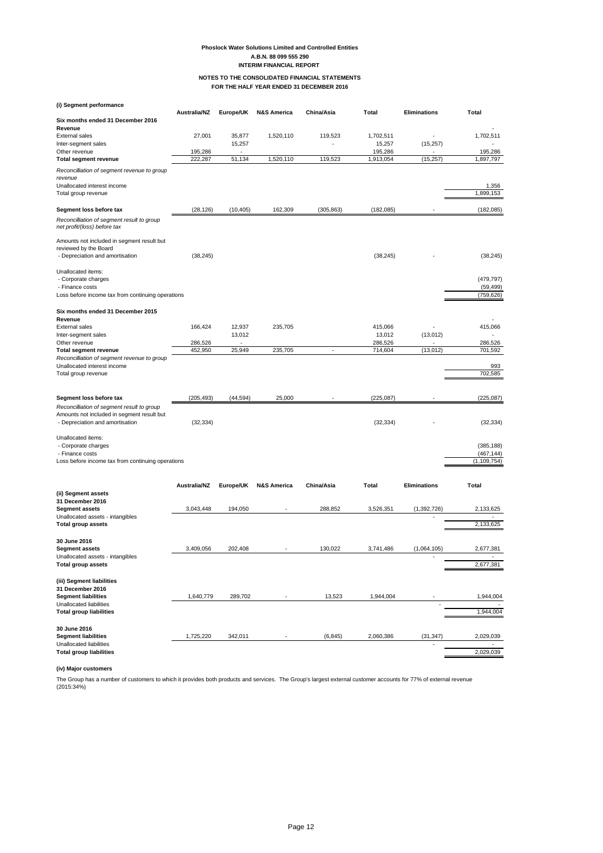#### **NOTES TO THE CONSOLIDATED FINANCIAL STATEMENTS FOR THE HALF YEAR ENDED 31 DECEMBER 2016**

**(i) Segment performan** 

| (i) segment performance                                                                  | Australia/NZ        | Europe/UK | <b>N&amp;S America</b> | China/Asia | <b>Total</b>         | Eliminations        | Total                       |
|------------------------------------------------------------------------------------------|---------------------|-----------|------------------------|------------|----------------------|---------------------|-----------------------------|
| Six months ended 31 December 2016                                                        |                     |           |                        |            |                      |                     |                             |
| Revenue                                                                                  |                     |           |                        |            |                      |                     |                             |
| <b>External sales</b>                                                                    | 27,001              | 35,877    | 1,520,110              | 119,523    | 1,702,511            |                     | 1,702,511                   |
| Inter-segment sales                                                                      |                     | 15,257    |                        |            | 15,257               | (15, 257)           |                             |
| Other revenue<br><b>Total segment revenue</b>                                            | 195,286<br>222,287  | 51,134    | 1,520,110              | 119,523    | 195,286<br>1,913,054 | (15, 257)           | 195,286<br>1,897,797        |
|                                                                                          |                     |           |                        |            |                      |                     |                             |
| Reconcilliation of segment revenue to group                                              |                     |           |                        |            |                      |                     |                             |
| revenue<br>Unallocated interest income                                                   |                     |           |                        |            |                      |                     | 1,356                       |
| Total group revenue                                                                      |                     |           |                        |            |                      |                     | 1,899,153                   |
|                                                                                          |                     |           |                        |            |                      |                     |                             |
| Segment loss before tax                                                                  | (28, 126)           | (10, 405) | 162,309                | (305, 863) | (182, 085)           |                     | (182, 085)                  |
| Reconcilliation of segment result to group                                               |                     |           |                        |            |                      |                     |                             |
| net profit/(loss) before tax                                                             |                     |           |                        |            |                      |                     |                             |
| Amounts not included in segment result but                                               |                     |           |                        |            |                      |                     |                             |
| reviewed by the Board                                                                    |                     |           |                        |            |                      |                     |                             |
| - Depreciation and amortisation                                                          | (38, 245)           |           |                        |            | (38, 245)            |                     | (38, 245)                   |
|                                                                                          |                     |           |                        |            |                      |                     |                             |
| Unallocated items:                                                                       |                     |           |                        |            |                      |                     |                             |
| - Corporate charges                                                                      |                     |           |                        |            |                      |                     | (479, 797)                  |
| - Finance costs<br>Loss before income tax from continuing operations                     |                     |           |                        |            |                      |                     | (59, 499)<br>(759, 626)     |
|                                                                                          |                     |           |                        |            |                      |                     |                             |
| Six months ended 31 December 2015                                                        |                     |           |                        |            |                      |                     |                             |
| Revenue                                                                                  |                     |           |                        |            |                      |                     |                             |
| <b>External sales</b>                                                                    | 166,424             | 12,937    | 235,705                |            | 415,066              |                     | 415,066                     |
| Inter-segment sales                                                                      |                     | 13,012    |                        |            | 13,012               | (13, 012)           |                             |
| Other revenue                                                                            | 286,526<br>452.950  |           |                        |            | 286,526              |                     | 286,526                     |
| <b>Total segment revenue</b><br>Reconcilliation of segment revenue to group              |                     | 25,949    | 235,705                |            | 714,604              | (13, 012)           | 701,592                     |
| Unallocated interest income                                                              |                     |           |                        |            |                      |                     | 993                         |
| Total group revenue                                                                      |                     |           |                        |            |                      |                     | 702,585                     |
|                                                                                          |                     |           |                        |            |                      |                     |                             |
|                                                                                          |                     |           |                        |            |                      |                     |                             |
| Segment loss before tax                                                                  | (205, 493)          | (44, 594) | 25,000                 |            | (225, 087)           |                     | (225, 087)                  |
| Reconcilliation of segment result to group<br>Amounts not included in segment result but |                     |           |                        |            |                      |                     |                             |
| - Depreciation and amortisation                                                          | (32, 334)           |           |                        |            | (32, 334)            |                     | (32, 334)                   |
|                                                                                          |                     |           |                        |            |                      |                     |                             |
| Unallocated items:                                                                       |                     |           |                        |            |                      |                     |                             |
| - Corporate charges                                                                      |                     |           |                        |            |                      |                     | (385, 188)                  |
| - Finance costs                                                                          |                     |           |                        |            |                      |                     | (467, 144)<br>(1, 109, 754) |
| Loss before income tax from continuing operations                                        |                     |           |                        |            |                      |                     |                             |
|                                                                                          |                     |           |                        |            |                      |                     |                             |
|                                                                                          | <b>Australia/NZ</b> | Europe/UK | <b>N&amp;S America</b> | China/Asia | Total                | <b>Eliminations</b> | Total                       |
| (ii) Segment assets                                                                      |                     |           |                        |            |                      |                     |                             |
| 31 December 2016<br><b>Segment assets</b>                                                | 3,043,448           | 194,050   |                        | 288,852    | 3,526,351            | (1, 392, 726)       | 2,133,625                   |
| Unallocated assets - intangibles                                                         |                     |           |                        |            |                      |                     |                             |
| <b>Total group assets</b>                                                                |                     |           |                        |            |                      |                     | 2,133,625                   |
|                                                                                          |                     |           |                        |            |                      |                     |                             |
| 30 June 2016                                                                             |                     |           |                        |            |                      |                     |                             |
| <b>Segment assets</b>                                                                    | 3,409,056           | 202,408   |                        | 130,022    | 3,741,486            | (1,064,105)         | 2,677,381                   |
| Unallocated assets - intangibles<br><b>Total group assets</b>                            |                     |           |                        |            |                      |                     | 2,677,381                   |
|                                                                                          |                     |           |                        |            |                      |                     |                             |
| (iii) Segment liabilities                                                                |                     |           |                        |            |                      |                     |                             |
| 31 December 2016                                                                         |                     |           |                        |            |                      |                     |                             |
| <b>Segment liabilities</b>                                                               | 1,640,779           | 289,702   |                        | 13,523     | 1,944,004            |                     | 1,944,004                   |
| Unallocated liabilities                                                                  |                     |           |                        |            |                      |                     |                             |
| <b>Total group liabilities</b>                                                           |                     |           |                        |            |                      |                     | 1,944,004                   |
| 30 June 2016                                                                             |                     |           |                        |            |                      |                     |                             |
| <b>Segment liabilities</b>                                                               | 1,725,220           | 342,011   |                        | (6, 845)   | 2,060,386            | (31, 347)           | 2,029,039                   |
| Unallocated liabilities                                                                  |                     |           |                        |            |                      |                     |                             |
| <b>Total group liabilities</b>                                                           |                     |           |                        |            |                      |                     | 2,029,039                   |

## **(iv) Major customers**

The Group has a number of customers to which it provides both products and services. The Group's largest external customer accounts for 77% of external revenue (2015:34%)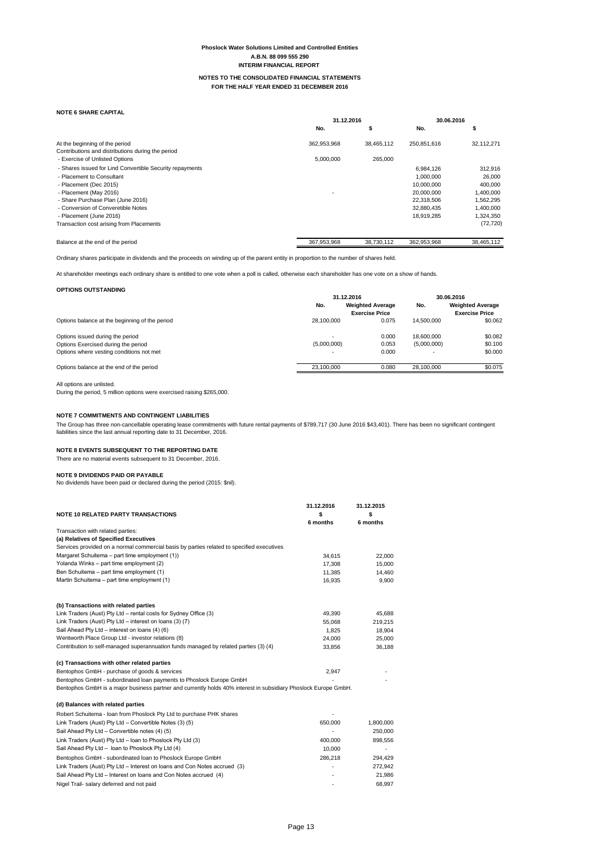#### **NOTES TO THE CONSOLIDATED FINANCIAL STATEMENTS FOR THE HALF YEAR ENDED 31 DECEMBER 2016**

## **NOTE 6 SHARE CAPITAL**

|                                                          |             | 31.12.2016 |             | 30.06.2016 |  |
|----------------------------------------------------------|-------------|------------|-------------|------------|--|
|                                                          | No.         | \$         | No.         | S          |  |
| At the beginning of the period                           | 362.953.968 | 38.465.112 | 250.851.616 | 32,112,271 |  |
| Contributions and distributions during the period        |             |            |             |            |  |
| - Exercise of Unlisted Options                           | 5.000.000   | 265,000    |             |            |  |
| - Shares issued for Lind Convertible Security repayments |             |            | 6.984.126   | 312.916    |  |
| - Placement to Consultant                                |             |            | 1.000.000   | 26,000     |  |
| - Placement (Dec 2015)                                   |             |            | 10.000.000  | 400,000    |  |
| - Placement (May 2016)                                   |             |            | 20,000,000  | 1,400,000  |  |
| - Share Purchase Plan (June 2016)                        |             |            | 22.318.506  | 1.562.295  |  |
| - Conversion of Converetible Notes                       |             |            | 32.880.435  | 1,400,000  |  |
| - Placement (June 2016)                                  |             |            | 18.919.285  | 1,324,350  |  |
| Transaction cost arising from Placements                 |             |            |             | (72, 720)  |  |
| Balance at the end of the period                         | 367.953.968 | 38.730.112 | 362.953.968 | 38.465.112 |  |

Ordinary shares participate in dividends and the proceeds on winding up of the parent entity in proportion to the number of shares held.

At shareholder meetings each ordinary share is entitled to one vote when a poll is called, otherwise each shareholder has one vote on a show of hands.

#### **OPTIONS OUTSTANDING**

|                                                | 31.12.2016  |                                                  | 30.06.2016  |                                                  |
|------------------------------------------------|-------------|--------------------------------------------------|-------------|--------------------------------------------------|
|                                                | No.         | <b>Weighted Average</b><br><b>Exercise Price</b> | No.         | <b>Weighted Average</b><br><b>Exercise Price</b> |
| Options balance at the beginning of the period | 28,100,000  | 0.075                                            | 14.500.000  | \$0.062                                          |
| Options issued during the period               |             | 0.000                                            | 18,600,000  | \$0.082                                          |
| Options Exercised during the period            | (5,000,000) | 0.053                                            | (5,000,000) | \$0.100                                          |
| Options where vesting conditions not met       |             | 0.000                                            |             | \$0.000                                          |
| Options balance at the end of the period       | 23.100.000  | 0.080                                            | 28.100.000  | \$0.075                                          |
|                                                |             |                                                  |             |                                                  |

All options are unlisted.

During the period, 5 million options were exercised raising \$265,000.

## **NOTE 7 COMMITMENTS AND CONTINGENT LIABILITIES**

The Group has three non-cancellable operating lease commitments with future rental payments of \$789,717 (30 June 2016 \$43,401). There has been no significant contingent liabilities since the last annual reporting date to 31 December, 2016.

## **NOTE 8 EVENTS SUBSEQUENT TO THE REPORTING DATE**

There are no material events subsequent to 31 December, 2016.

#### **NOTE 9 DIVIDENDS PAID OR PAYABLE**

No dividends have been paid or declared during the period (2015: \$nil).

| <b>NOTE 10 RELATED PARTY TRANSACTIONS</b>                                                                       | 31.12.2016<br>\$<br>6 months | 31.12.2015<br>\$<br>6 months |  |  |  |  |
|-----------------------------------------------------------------------------------------------------------------|------------------------------|------------------------------|--|--|--|--|
| Transaction with related parties:                                                                               |                              |                              |  |  |  |  |
| (a) Relatives of Specified Executives                                                                           |                              |                              |  |  |  |  |
| Services provided on a normal commercial basis by parties related to specified executives                       |                              |                              |  |  |  |  |
| Margaret Schuitema - part time employment (1))                                                                  | 34,615                       | 22,000                       |  |  |  |  |
| Yolanda Winks - part time employment (2)                                                                        | 17,308                       | 15,000                       |  |  |  |  |
| Ben Schuitema - part time employment (1)                                                                        | 11,385                       | 14,460                       |  |  |  |  |
| Martin Schuitema - part time employment (1)                                                                     | 16,935                       | 9,900                        |  |  |  |  |
| (b) Transactions with related parties                                                                           |                              |                              |  |  |  |  |
| Link Traders (Aust) Pty Ltd - rental costs for Sydney Office (3)                                                | 49,390                       | 45,688                       |  |  |  |  |
| Link Traders (Aust) Pty Ltd - interest on loans (3) (7)                                                         | 55.068                       | 219.215                      |  |  |  |  |
| Sail Ahead Pty Ltd - interest on loans (4) (6)                                                                  | 1,825                        | 18,904                       |  |  |  |  |
| Wentworth Place Group Ltd - investor relations (8)                                                              | 24,000                       | 25,000                       |  |  |  |  |
| Contribution to self-managed superannuation funds managed by related parties (3) (4)                            | 33,856                       | 36,188                       |  |  |  |  |
| (c) Transactions with other related parties                                                                     |                              |                              |  |  |  |  |
| Bentophos GmbH - purchase of goods & services                                                                   | 2,947                        |                              |  |  |  |  |
| Bentophos GmbH - subordinated loan payments to Phoslock Europe GmbH                                             |                              |                              |  |  |  |  |
| Bentophos GmbH is a major business partner and currently holds 40% interest in subsidiary Phoslock Europe GmbH. |                              |                              |  |  |  |  |
| (d) Balances with related parties                                                                               |                              |                              |  |  |  |  |
| Robert Schuitema - Ioan from Phoslock Pty Ltd to purchase PHK shares                                            |                              |                              |  |  |  |  |
| Link Traders (Aust) Pty Ltd - Convertible Notes (3) (5)                                                         | 650,000                      | 1,800,000                    |  |  |  |  |
| Sail Ahead Pty Ltd - Convertible notes (4) (5)                                                                  |                              | 250,000                      |  |  |  |  |
| Link Traders (Aust) Pty Ltd - loan to Phoslock Pty Ltd (3)                                                      | 400,000                      | 898,556                      |  |  |  |  |
| Sail Ahead Pty Ltd - loan to Phoslock Pty Ltd (4)                                                               | 10,000                       |                              |  |  |  |  |
| Bentophos GmbH - subordinated Ioan to Phoslock Europe GmbH                                                      | 286.218                      | 294,429                      |  |  |  |  |
| Link Traders (Aust) Pty Ltd - Interest on loans and Con Notes accrued (3)                                       |                              | 272,942                      |  |  |  |  |
| Sail Ahead Pty Ltd - Interest on loans and Con Notes accrued (4)                                                |                              | 21,986                       |  |  |  |  |
| Nigel Trail- salary deferred and not paid                                                                       |                              | 68,997                       |  |  |  |  |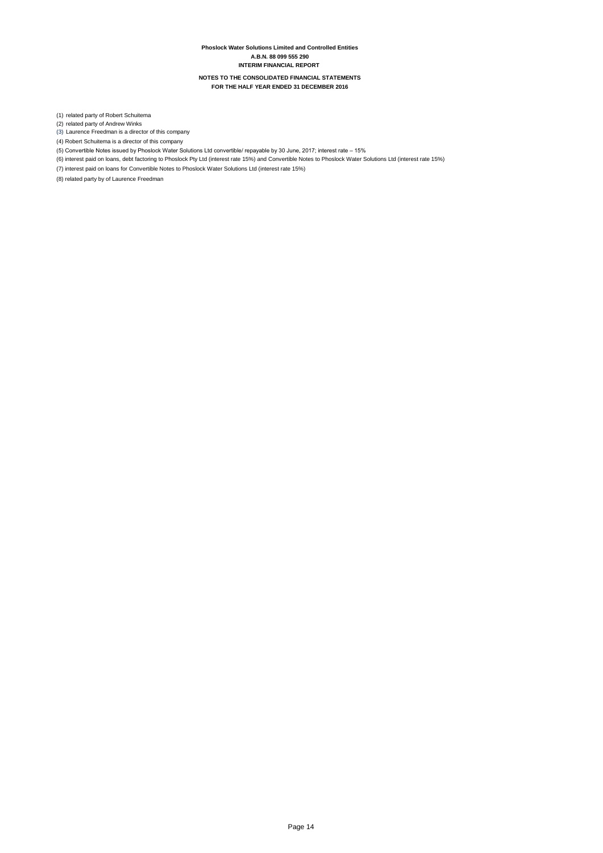#### **NOTES TO THE CONSOLIDATED FINANCIAL STATEMENTS FOR THE HALF YEAR ENDED 31 DECEMBER 2016**

(1) related party of Robert Schuitema

(2) related party of Andrew Winks (3) Laurence Freedman is a director of this company

(4) Robert Schuitema is a director of this company

(5) Convertible Notes issued by Phoslock Water Solutions Ltd convertible/ repayable by 30 June, 2017; interest rate – 15%

(6) interest paid on loans, debt factoring to Phoslock Pty Ltd (interest rate 15%) and Convertible Notes to Phoslock Water Solutions Ltd (interest rate 15%)

(7) interest paid on loans for Convertible Notes to Phoslock Water Solutions Ltd (interest rate 15%)

(8) related party by of Laurence Freedman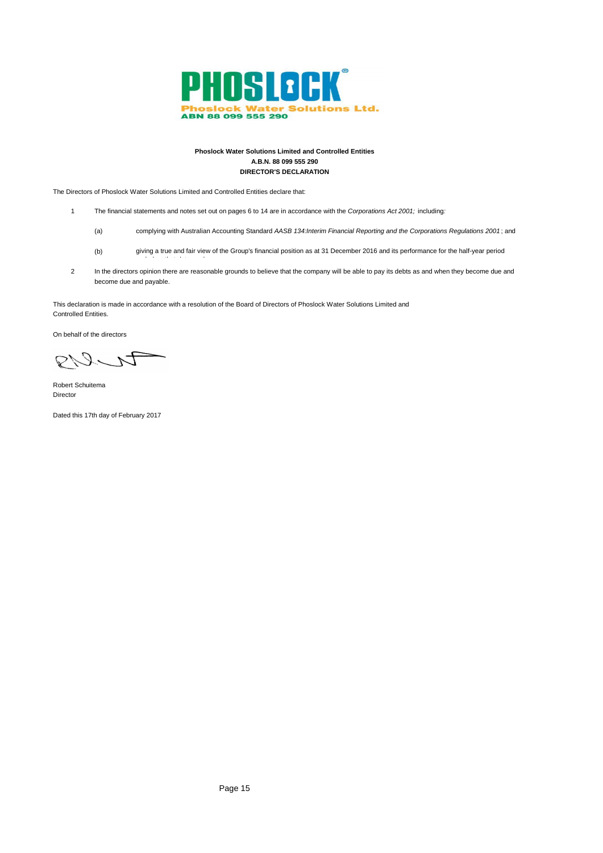

## **Phoslock Water Solutions Limited and Controlled Entities A.B.N. 88 099 555 290 DIRECTOR'S DECLARATION**

The Directors of Phoslock Water Solutions Limited and Controlled Entities declare that:

- 1 The financial statements and notes set out on pages 6 to 14 are in accordance with the *Corporations Act 2001;* including*:*
	- (a) complying with Australian Accounting Standard *AASB 134:Interim Financial Reporting and the Corporations Regulations 2001* ; and
	- (b) giving a true and fair view of the Group's financial position as at 31 December 2016 and its performance for the half-year period
- 2 become due and payable. payable. In the directors opinion there are reasonable grounds to believe that the company will be able to pay its debts as and when they become due and

This declaration is made in accordance with a resolution of the Board of Directors of Phoslock Water Solutions Limited and Controlled Entities.

On behalf of the directors

PILA

Robert Schuitema Director

Dated this 17th day of February 2017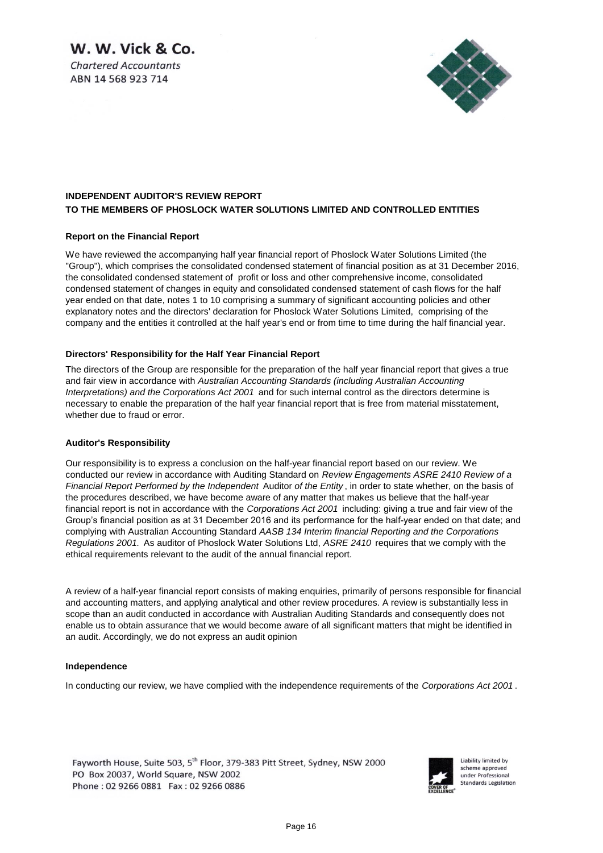W. W. Vick & Co.

**Chartered Accountants** ABN 14 568 923 714



# **INDEPENDENT AUDITOR'S REVIEW REPORT TO THE MEMBERS OF PHOSLOCK WATER SOLUTIONS LIMITED AND CONTROLLED ENTITIES**

# **Report on the Financial Report**

We have reviewed the accompanying half year financial report of Phoslock Water Solutions Limited (the "Group"), which comprises the consolidated condensed statement of financial position as at 31 December 2016, the consolidated condensed statement of profit or loss and other comprehensive income, consolidated condensed statement of changes in equity and consolidated condensed statement of cash flows for the half year ended on that date, notes 1 to 10 comprising a summary of significant accounting policies and other explanatory notes and the directors' declaration for Phoslock Water Solutions Limited, comprising of the company and the entities it controlled at the half year's end or from time to time during the half financial year.

# **Directors' Responsibility for the Half Year Financial Report**

The directors of the Group are responsible for the preparation of the half year financial report that gives a true and fair view in accordance with *Australian Accounting Standards (including Australian Accounting Interpretations) and the Corporations Act 2001* and for such internal control as the directors determine is necessary to enable the preparation of the half year financial report that is free from material misstatement, whether due to fraud or error.

# **Auditor's Responsibility**

Our responsibility is to express a conclusion on the half-year financial report based on our review. We conducted our review in accordance with Auditing Standard on *Review Engagements ASRE 2410 Review of a Financial Report Performed by the Independent* Auditor *of the Entity* , in order to state whether, on the basis of the procedures described, we have become aware of any matter that makes us believe that the half-year financial report is not in accordance with the *Corporations Act 2001* including: giving a true and fair view of the Group's financial position as at 31 December 2016 and its performance for the half-year ended on that date; and complying with Australian Accounting Standard *AASB 134 Interim financial Reporting and the Corporations Regulations 2001.* As auditor of Phoslock Water Solutions Ltd, *ASRE 2410* requires that we comply with the ethical requirements relevant to the audit of the annual financial report.

A review of a half-year financial report consists of making enquiries, primarily of persons responsible for financial and accounting matters, and applying analytical and other review procedures. A review is substantially less in scope than an audit conducted in accordance with Australian Auditing Standards and consequently does not enable us to obtain assurance that we would become aware of all significant matters that might be identified in an audit. Accordingly, we do not express an audit opinion

# **Independence**

In conducting our review, we have complied with the independence requirements of the *Corporations Act 2001* .

Fayworth House, Suite 503, 5<sup>th</sup> Floor, 379-383 Pitt Street, Sydney, NSW 2000 PO Box 20037, World Square, NSW 2002 Phone: 02 9266 0881 Fax: 02 9266 0886



Liability limited by scheme approved under Professional **Standards Legislation**